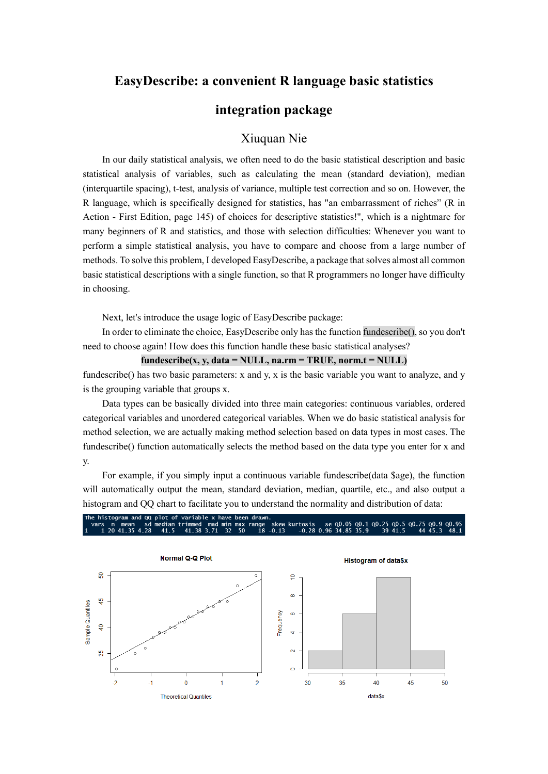## **EasyDescribe: a convenient R language basic statistics**

# **integration package**

### Xiuquan Nie

In our daily statistical analysis, we often need to do the basic statistical description and basic statistical analysis of variables, such as calculating the mean (standard deviation), median (interquartile spacing), t-test, analysis of variance, multiple test correction and so on. However, the R language, which is specifically designed for statistics, has "an embarrassment of riches" (R in Action - First Edition, page 145) of choices for descriptive statistics!", which is a nightmare for many beginners of R and statistics, and those with selection difficulties: Whenever you want to perform a simple statistical analysis, you have to compare and choose from a large number of methods. To solve this problem, I developed EasyDescribe, a package that solves almost all common basic statistical descriptions with a single function, so that R programmers no longer have difficulty in choosing.

Next, let's introduce the usage logic of EasyDescribe package:

In order to eliminate the choice, EasyDescribe only has the function fundescribe(), so you don't need to choose again! How does this function handle these basic statistical analyses?

#### $fundescribe(x, y, data = NULL, na.rm = TRUE, norm.t = NULL)$

fundescribe() has two basic parameters: x and y, x is the basic variable you want to analyze, and y is the grouping variable that groups x.

Data types can be basically divided into three main categories: continuous variables, ordered categorical variables and unordered categorical variables. When we do basic statistical analysis for method selection, we are actually making method selection based on data types in most cases. The fundescribe() function automatically selects the method based on the data type you enter for x and y.

For example, if you simply input a continuous variable fundescribe(data \$age), the function will automatically output the mean, standard deviation, median, quartile, etc., and also output a histogram and QQ chart to facilitate you to understand the normality and distribution of data:



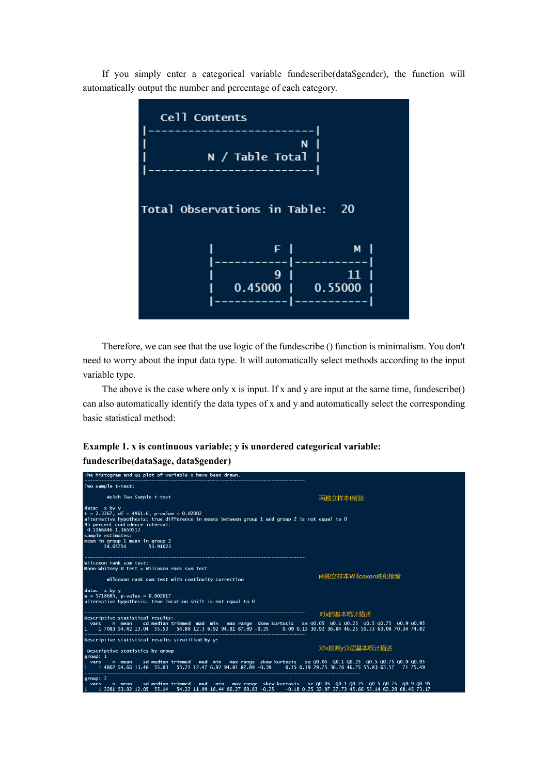If you simply enter a categorical variable fundescribe(data\$gender), the function will automatically output the number and percentage of each category.



Therefore, we can see that the use logic of the fundescribe () function is minimalism. You don't need to worry about the input data type. It will automatically select methods according to the input variable type.

The above is the case where only x is input. If x and y are input at the same time, fundescribe() can also automatically identify the data types of x and y and automatically select the corresponding basic statistical method:

#### **Example 1. x is continuous variable; y is unordered categorical variable: fundescribe(data\$age, data\$gender)**

| The histogram and QQ plot of variable x have been drawn.                                                                                                                                                                                                                                                  |                   |
|-----------------------------------------------------------------------------------------------------------------------------------------------------------------------------------------------------------------------------------------------------------------------------------------------------------|-------------------|
| Two sample t-test:                                                                                                                                                                                                                                                                                        |                   |
| Welch Two Sample t-test                                                                                                                                                                                                                                                                                   | 两独立样本t检验          |
| data: x by y<br>$t = 2.3267$ , df = 4961.6, p-value = 0.02002<br>alternative hypothesis: true difference in means between group 1 and group 2 is not equal to 0<br>95 percent confidence interval:<br>0.1166846 1.3659512<br>sample estimates:<br>mean in group 1 mean in group 2<br>54.65754<br>53.91623 |                   |
| Wilcoxon rank sum test:<br>Mann-Whitney U test = Wilcoxon rank sum test<br>Wilcoxon rank sum test with continuity correction                                                                                                                                                                              | 两独立样本Wilcoxon秩和检验 |
| data: x by y<br>$W = 5718685$ , p-value = 0.002617<br>alternative hypothesis: true location shift is not equal to 0                                                                                                                                                                                       |                   |
| Descriptive statistical results:                                                                                                                                                                                                                                                                          | 对x的基本统计描述         |
| vars   n mean   sd median trimmed  mad  min   max range  skew kurtosis   se Q0.05  Q0.1 Q0.25  Q0.5 Q0.75  Q0.9 Q0.95<br>1 17083 54.42 13.04 55.53 54.88 12.3 6.92 94.81 87.89 -0.35 0.09 0.15 30.92 36.84 46.25 55.53 63.08 70.34 74.82<br>-------------------------------                               |                   |
| Descriptive statistical results stratified by y:                                                                                                                                                                                                                                                          |                   |
| Descriptive statistics by group<br>group: 1                                                                                                                                                                                                                                                               | 对x按照y分层基本统计描述     |
| vars n mean sd median trimmed mad min max range skew kurtosis se Q0.05 Q0.1 Q0.25 Q0.5 Q0.75 Q0.9 Q0.95<br>1 1 4802 54.66 13.48 55.83 55.21 12.47 6.92 94.81 87.89 -0.39 0.15 0.19 29.75 36.26 46.75 55.83 63.57 71 75.49                                                                                 |                   |
| qroup: 2<br>n mean sd mediantrimmed mad min max range skew kurtosis se Q0.05 Q0.1 Q0.25 Q0.5 Q0.75 Q0.9 Q0.95<br>vars<br>1 1 2281 53.92 12.05 55.14 54.22 11.99 16.44 86.27 69.83 -0.25 -0.18 0.25 32.97 37.73 45.66 55.14 62.28 68.45 73.17                                                              |                   |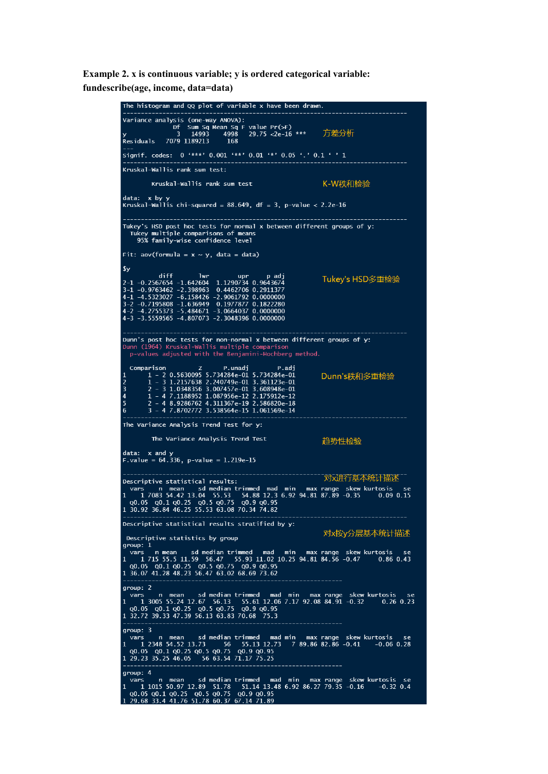**Example 2. x is continuous variable; y is ordered categorical variable: fundescribe(age, income, data=data)**

> The histogram and QQ plot of variable  $x$  have been drawn. Variance analysis (one-way ANOVA). narys is concreased by Alexandr Property<br>13 14993 14998 29.75 <2e-16<br>2079 1189213 168  $29.75 < 2e-16$  \*\*\* 方差分析  $\overline{\mathbf{p}}$  aciduals Signif. codes: 0 '\*\*\*' 0.001 '\*\*' 0.01 '\*' 0.05 '.' 0.1 ' ' 1 Kruskal-Wallis rank sum test: K-W秩和检验 Kruskal-Wallis rank sum test data: x by y<br>Kruskal-Wallis chi-squared =  $88.649$ , df = 3, p-value < 2.2e-16 Tukey's HSD post hoc tests for normal x between different groups of y:<br>Tukey multiple comparisons of means<br>95% family-wise confidence level Fit:  $aov(formula = x ~ y, data = data)$  $\mathbf{y}$ 9y<br>
> 2-1 -0.2567654 -1.642604 1.1290734 0.9643674<br>
> 3-1 -0.9763462 -2.398963 0.4462706 0.2911377<br>
> 4-1 -4.5323027 -6.158426 -2.9061792 0.0000000<br>
> 4-2 -4.2755373 -5.484671 -3.0664037 0.0000000<br>
> 4-3 -3.5559565 -4.807073 -2.3048 Tukev's HSD多重检验 Dunn's post hoc tests for non-normal x between different groups of y:<br>Dunn (1964) Kruskal-Wallis multiple comparison<br>p-values adjusted with the Benjamini-Hochberg method. arison z P.unadj P.adj<br>1 - 2 0.5630095 5.734284e-01 5.734284e-01<br>1 - 3 1.2157638 2.240749e-01 3.361123e-01<br>2 - 3 1.0348356 3.007457e-01 3.608948e-01<br>1 - 4 7.1188952 1.087956e-12 2.175912e-12<br>2 - 4 8.9286762 4.311367e-19 2. Comparison Dunn's秩和多重检验  $\overline{\mathbf{3}}$  $\overline{4}$  $\overline{5}$ 6 The Variance Analysis Trend Test for y: The Variance Analysis Trend Test 趋势性检验 data: x and y<br>F.value =  $64.336$ , p-value = 1.219e-15 「对戏并行基本统计描述 Descriptive statistical results: vars n mean sd median trimmed mad min max range skew kurtosis<br>1 1 7083 54.42 13.04 55.53 54.88 12.3 6.92 94.81 87.89 -0.35 0.09<br>0.05 00.1 00.25 00.5 00.75 00.9 00.95<br>1 30.92 36.84 46.25 55.53 63.08 70.34 74.82  $0.09$  0.15 Descriptive statistical results stratified by y: 对x按y分层基本统计描述 Descriptive statistics by group  $arrow: 1$ 91.00.<br>
> vars n mean sd median trimmed mad min max range skew kurtosis se<br>
> 1 1715 55.5 11.59 56.47 55.93 11.02 10.25 94.81 84.56 -0.47 0.86 0.43<br>
> 0.05 0.01 00.25 00.5 00.75 00.9 00.95<br>
> 1 36.07 41.28 48.23 56.47 63.02 68.69 group: 2 group: 2<br>
> 1 3005 55.24 12.67 56.13 55.61 12.06 7.17 92.08 84.91 -0.32 0.26<br>
> 1 3005 55.24 12.67 56.13 55.61 12.06 7.17 92.08 84.91 -0.32 0.26<br>
> 0.05 00.1 00.25 00.5 00.75 00.9 00.95<br>
> 1 32.72 39.33 47.39 56.13 63.83 70.68 75. rtosis se<br>0.26 0.23  $group: 3$ group: 3<br>
> vars in mean is dimedian trimmed mad min max range skew kurtosis<br>
> 1 1 2348 54.52 13.73 56 55.13 12.73 7 89.86 82.86 -0.41 -0.06<br>
> 0 0.05 0 0.1 0 0.25 0 0.5 0 0.75 0 0.9 0 0.95<br>
> 1 29.23 35.25 46.05 56 63.54 71.17 7  $-0.06$  0.28 group: 4 var.<br>1 1015 50.97 12.89 51.78 51.14 13.48 6.92 86.27 79.35 -0.16 -0.32<br>Q0.05 Q0.1 Q0.25 Q0.5 Q0.75 Q0.9 Q0.95<br>29.68 33.4 41.76 51.78 60.37 67.14 71.89 se  $-0.32$  0.4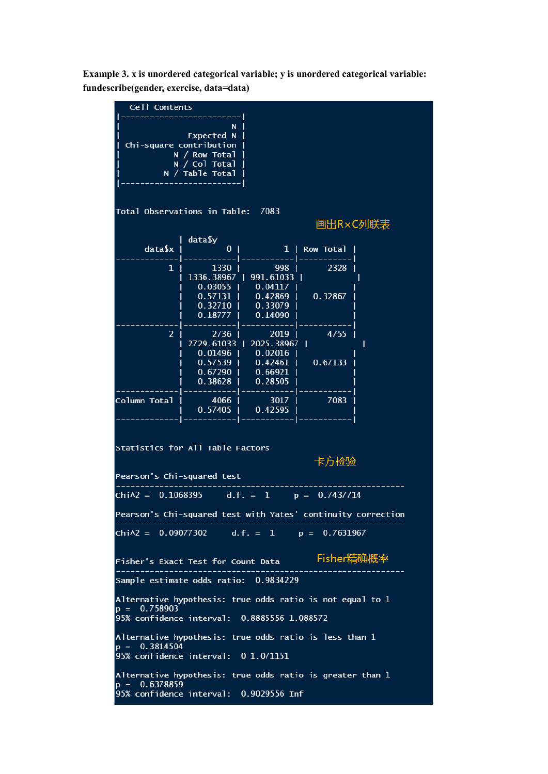**Example 3. x is unordered categorical variable; y is unordered categorical variable: fundescribe(gender, exercise, data=data)**

| Cell Contents                                                |                                          |                                                                                                                         |             |   |  |  |
|--------------------------------------------------------------|------------------------------------------|-------------------------------------------------------------------------------------------------------------------------|-------------|---|--|--|
|                                                              | N.                                       |                                                                                                                         |             |   |  |  |
|                                                              | Expected N                               |                                                                                                                         |             |   |  |  |
|                                                              | Chi-square contribution<br>N / Row Total |                                                                                                                         |             |   |  |  |
|                                                              | N / Col Total                            |                                                                                                                         |             |   |  |  |
|                                                              | N / Table Total                          |                                                                                                                         |             |   |  |  |
|                                                              |                                          |                                                                                                                         |             |   |  |  |
|                                                              |                                          |                                                                                                                         |             |   |  |  |
| Total Observations in Table: 7083                            |                                          |                                                                                                                         |             |   |  |  |
|                                                              |                                          |                                                                                                                         | 画出R×C列联表    |   |  |  |
|                                                              | data\$y                                  |                                                                                                                         |             |   |  |  |
| data\$x                                                      |                                          | 0   1   Row Total                                                                                                       |             |   |  |  |
|                                                              |                                          | - -- <del>---------</del>  -                                                                                            |             |   |  |  |
| 1 <sub>1</sub>                                               | $1330$                                   | 998 I<br>  1336.38967   991.61033                                                                                       | 2328 1      |   |  |  |
|                                                              |                                          |                                                                                                                         |             |   |  |  |
|                                                              |                                          | $\begin{array}{c cccc} 0.03055 & 0.04117 & 0 \\ 0.57131 & 0.42869 & 0.32867 \\ 0.32710 & 0.33079 & 0.33079 \end{array}$ |             |   |  |  |
|                                                              |                                          |                                                                                                                         |             |   |  |  |
|                                                              |                                          | $0.18777$   $0.14090$                                                                                                   |             |   |  |  |
| 2 <sup>1</sup>                                               |                                          | 2736   2019                                                                                                             | 4755        |   |  |  |
|                                                              |                                          | 2729.61033   2025.38967                                                                                                 |             | ı |  |  |
|                                                              |                                          | $0.01496$   $0.02016$                                                                                                   |             |   |  |  |
|                                                              |                                          | 0.57539   0.42461   0.67133  <br>0.67290   0.66921                                                                      |             |   |  |  |
|                                                              |                                          | 0.38628   0.28505                                                                                                       |             |   |  |  |
|                                                              |                                          |                                                                                                                         |             |   |  |  |
| Column Total   4066                                          |                                          |                                                                                                                         | 3017   7083 |   |  |  |
|                                                              |                                          | $\overline{1}$ 0.57405 $\overline{1}$ 0.42595 $\overline{1}$                                                            |             |   |  |  |
|                                                              |                                          |                                                                                                                         |             |   |  |  |
|                                                              |                                          |                                                                                                                         |             |   |  |  |
| Statistics for All Table Factors                             |                                          |                                                                                                                         |             |   |  |  |
|                                                              |                                          |                                                                                                                         | 卡方检验        |   |  |  |
| Pearson's Chi-squared test                                   |                                          |                                                                                                                         |             |   |  |  |
|                                                              |                                          |                                                                                                                         |             |   |  |  |
| $Chi\lambda2 = 0.1068395$ d.f. = 1 p = 0.7437714             |                                          |                                                                                                                         |             |   |  |  |
| Pearson's Chi-squared test with Yates' continuity correction |                                          |                                                                                                                         |             |   |  |  |
|                                                              |                                          |                                                                                                                         |             |   |  |  |
| Chi $\lambda$ 2 = 0.09077302 d.f. = 1 p = 0.7631967          |                                          |                                                                                                                         |             |   |  |  |
|                                                              |                                          |                                                                                                                         |             |   |  |  |
| Fisher精确概率<br>Fisher's Exact Test for Count Data             |                                          |                                                                                                                         |             |   |  |  |
|                                                              |                                          |                                                                                                                         |             |   |  |  |
| Sample estimate odds ratio: 0.9834229                        |                                          |                                                                                                                         |             |   |  |  |
| Alternative hypothesis: true odds ratio is not equal to 1    |                                          |                                                                                                                         |             |   |  |  |
| $p = 0.758903$                                               |                                          |                                                                                                                         |             |   |  |  |
| 95% confidence interval: 0.8885556 1.088572                  |                                          |                                                                                                                         |             |   |  |  |
| Alternative hypothesis: true odds ratio is less than 1       |                                          |                                                                                                                         |             |   |  |  |
| $\overline{p} = 0.3814504$                                   |                                          |                                                                                                                         |             |   |  |  |
| 95% confidence interval: 0 1.071151                          |                                          |                                                                                                                         |             |   |  |  |
| Alternative hypothesis: true odds ratio is greater than 1    |                                          |                                                                                                                         |             |   |  |  |
| $\overline{p} = 0.6378859$                                   |                                          |                                                                                                                         |             |   |  |  |
| 95% confidence interval: 0.9029556 Inf                       |                                          |                                                                                                                         |             |   |  |  |
|                                                              |                                          |                                                                                                                         |             |   |  |  |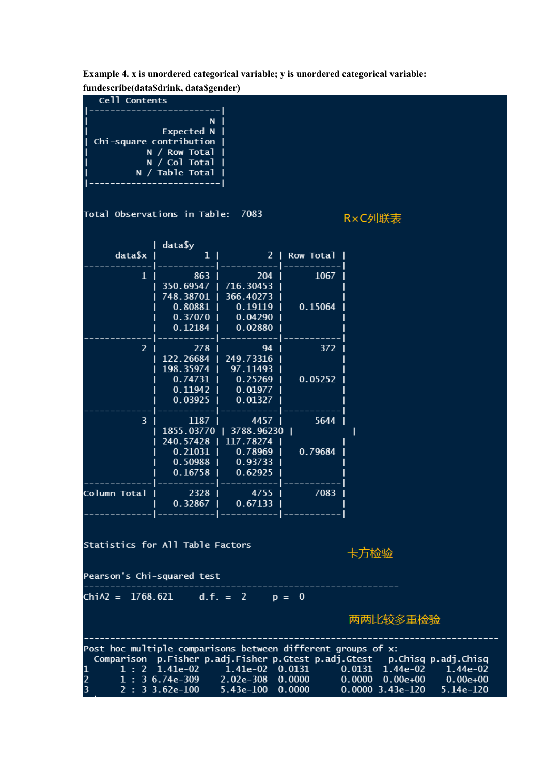**Example 4. x is unordered categorical variable; y is unordered categorical variable: fundescribe(data\$drink, data\$gender)**

| unuesti ide(datasui ilik, datasgender)<br>Cell Contents                                                                                                                                                                                                                                                                                                                |                                                                          |                                                                                       |                 |        |  |  |  |
|------------------------------------------------------------------------------------------------------------------------------------------------------------------------------------------------------------------------------------------------------------------------------------------------------------------------------------------------------------------------|--------------------------------------------------------------------------|---------------------------------------------------------------------------------------|-----------------|--------|--|--|--|
| Chi-square contribution<br>Total Observations in Table:                                                                                                                                                                                                                                                                                                                | N I<br>Expected N  <br>N / Row Total<br>N / Col Total<br>N / Table Total | 7083                                                                                  |                 | R×C列联表 |  |  |  |
|                                                                                                                                                                                                                                                                                                                                                                        |                                                                          |                                                                                       |                 |        |  |  |  |
| data\$x                                                                                                                                                                                                                                                                                                                                                                | data\$y<br>1 <sup>1</sup>                                                |                                                                                       | 2   Row Total   |        |  |  |  |
| $\mathbf{1}$                                                                                                                                                                                                                                                                                                                                                           | 863<br>350.69547  <br>748.38701<br>0.80881                               | 204<br>716.30453<br>366.40273<br>0.19119                                              | 1067<br>0.15064 |        |  |  |  |
|                                                                                                                                                                                                                                                                                                                                                                        | $0.37070$  <br>0.12184                                                   | 0.04290<br>0.02880                                                                    |                 |        |  |  |  |
| 2 <sup>7</sup>                                                                                                                                                                                                                                                                                                                                                         | 278<br>122.26684<br>198.35974<br>$0.74731$  <br>$0.11942$                | 94<br>249.73316<br>97.11493<br>0.25269<br>0.01977                                     | 372<br>0.05252  |        |  |  |  |
|                                                                                                                                                                                                                                                                                                                                                                        | 0.03925                                                                  | 0.01327                                                                               |                 |        |  |  |  |
| 3 <sup>1</sup>                                                                                                                                                                                                                                                                                                                                                         | $1187$  <br>240.57428  <br>$0.21031$  <br>0.50988<br>$0.16758$           | 4457  <br>1855.03770   3788.96230  <br>117.78274<br>$0.78969$  <br>0.93733<br>0.62925 | 5644<br>0.79684 |        |  |  |  |
| Column Total                                                                                                                                                                                                                                                                                                                                                           | 2328                                                                     | 4755<br>$0.32867$   $0.67133$                                                         | 7083            |        |  |  |  |
| ------ ----------- ------------ <br><b>Statistics for All Table Factors</b><br>卡方检验                                                                                                                                                                                                                                                                                    |                                                                          |                                                                                       |                 |        |  |  |  |
| Pearson's Chi-squared test                                                                                                                                                                                                                                                                                                                                             |                                                                          |                                                                                       |                 |        |  |  |  |
| Chi $\lambda$ 2 = 1768.621 d.f. = 2 p = 0                                                                                                                                                                                                                                                                                                                              |                                                                          |                                                                                       |                 |        |  |  |  |
| 两两比较多重检验                                                                                                                                                                                                                                                                                                                                                               |                                                                          |                                                                                       |                 |        |  |  |  |
| Post hoc multiple comparisons between different groups of x:<br>Comparison p.Fisher p.adj.Fisher p.Gtest p.adj.Gtest p.Chisq p.adj.Chisq<br>1 1: 2 1.41e-02 1.41e-02 0.0131<br>$0.0131$ $1.44e-02$ $1.44e-02$<br>$2 \t 1 : 3 \t 6.74e-309$ 2.02e-308 0.0000 0.0000 0.00e+00 0.00e+00<br>3<br>$2: 3 \cdot 3.62e-100$ $5.43e-100$ $0.0000$<br>0.0000 3.43e-120 5.14e-120 |                                                                          |                                                                                       |                 |        |  |  |  |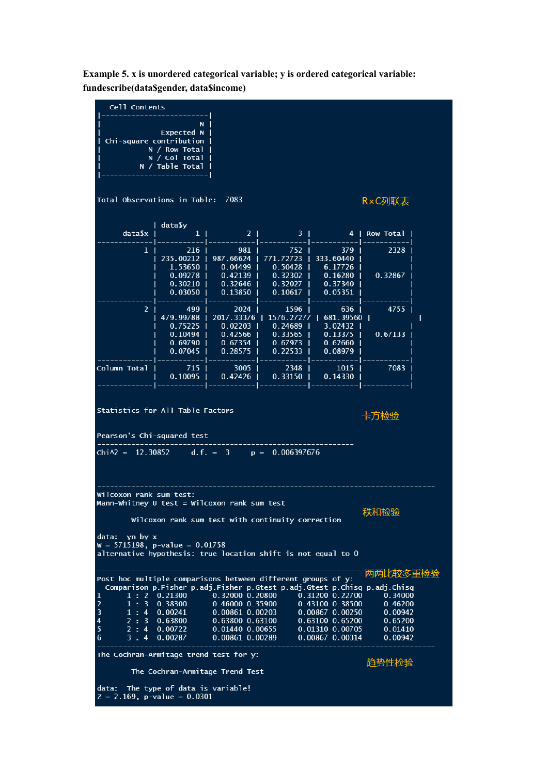**Example 5. x is unordered categorical variable; y is ordered categorical variable: fundescribe(data\$gender, data\$income)**

Cell Contents  $\overline{\mathsf{N}}$ **Expected N** Chi-square contribution N / Row Total / Col Total  $\overline{N}$  $N /$ Table Total Total Observations in Table: 7083 R×C列联表 data\$y data\$x  $\mathbf{1}$  $\overline{2}$  $\overline{3}$ ı ı  $\overline{1}$  $\overline{a}$  $\mathbf{I}$ Row Total - 1  $\mathbf{1}$ 216 981 752 379 2328 235.00212 987.66624 771.72723 333.60440  $0.50428$ 1.53650 0.04499 6.17726  $0.42139$ 0.09278 0.32302 0.16280 0.32867 0.30210 0.32646 0.32027 0.37340 0.13850 0.05351 0.03050 0.10617 4755  $\overline{2}$ 499 2024 1596 636 479.99788 2017.33376 1576.27277 681.39560 |  $\overline{1}$ I 0.75225  $0.02203$ 0.24689 3.02432 ı  $0.10494$ 0.42566 0.33565 0.13375 0.67133 0.67354 0.69790 0.67973 0.62660 0.07045 0.28575 0.22533 0.08979 Column Total 715 3005 2348 1015 7083 0.10095 0.42426 0.33150 0.14330 Statistics for All Table Factors 卡方检验 Pearson's Chi-squared test  $Chi=12.30852$  $d.f. = 3$  $p = 0.006397676$ Wilcoxon rank sum test: Mann-Whitney U test = Wilcoxon rank sum test 秩和检验 Wilcoxon rank sum test with continuity correction data: yn by x  $W = 5715198$ , p-value = 0.01758 alternative hypothesis: true location shift is not equal to 0 两两比较多重检验 Post hoc multiple comparisons between different groups of y: Comparison p.Fisher p.adj.Fisher p.Gtest p.adj.Gtest p.Chisq p.adj.Chisq  $1:2$ 0.21300 0.32000 0.20800 0.31200 0.22700 0.34000  $1:3$ 0.38300 0.46000 0.35900 0.43100 0.38500 0.46200 0.00867 0.00250  $\overline{3}$  $1:4$  $0.00241$ 0.00861 0.00203 0.00942  $\frac{1}{2}$  : 3 0.63100 0.65200  $0.65200$ 0.63800 0.63800 0.63100  $\boldsymbol{\Lambda}$  $\overline{2}$ 5  $\overline{4}$ 0.00722 0.01440 0.00655 0.01310 0.00705  $0.01410$  $\overline{6}$  $\overline{3}$  $\overline{4}$ 0.00287 0.00861 0.00289 0.00867 0.00314 0.00942 The Cochran-Armitage trend test for y: 趋势性检验 The Cochran-Armitage Trend Test data: The type of data is variable!  $Z = 2.169$ , p-value = 0.0301